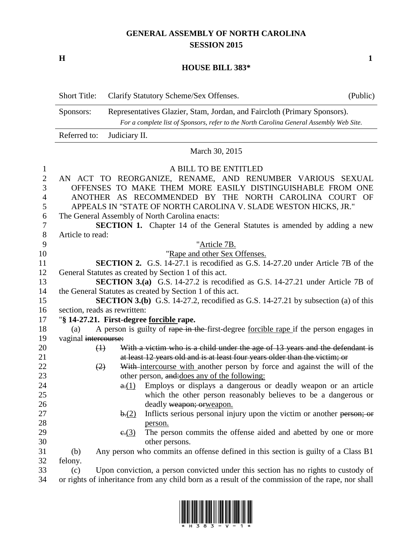# **GENERAL ASSEMBLY OF NORTH CAROLINA SESSION 2015**

**H 1**

### **HOUSE BILL 383\***

|                                                                         | <b>Short Title:</b><br>(Public)<br>Clarify Statutory Scheme/Sex Offenses.                                                                                                                                                                                                                                                                                                                                                                |  |  |
|-------------------------------------------------------------------------|------------------------------------------------------------------------------------------------------------------------------------------------------------------------------------------------------------------------------------------------------------------------------------------------------------------------------------------------------------------------------------------------------------------------------------------|--|--|
|                                                                         | Representatives Glazier, Stam, Jordan, and Faircloth (Primary Sponsors).<br>Sponsors:<br>For a complete list of Sponsors, refer to the North Carolina General Assembly Web Site.                                                                                                                                                                                                                                                         |  |  |
|                                                                         | Referred to:<br>Judiciary II.                                                                                                                                                                                                                                                                                                                                                                                                            |  |  |
|                                                                         | March 30, 2015                                                                                                                                                                                                                                                                                                                                                                                                                           |  |  |
| $\mathbf{1}$<br>$\mathbf{2}$<br>3<br>$\overline{4}$<br>5<br>6<br>7<br>8 | A BILL TO BE ENTITLED<br>AN ACT TO REORGANIZE, RENAME, AND RENUMBER VARIOUS SEXUAL<br>OFFENSES TO MAKE THEM MORE EASILY DISTINGUISHABLE FROM ONE<br>ANOTHER AS RECOMMENDED BY THE NORTH CAROLINA COURT<br>OF<br>APPEALS IN "STATE OF NORTH CAROLINA V. SLADE WESTON HICKS, JR."<br>The General Assembly of North Carolina enacts:<br><b>SECTION 1.</b> Chapter 14 of the General Statutes is amended by adding a new<br>Article to read: |  |  |
| 9                                                                       | "Article 7B.                                                                                                                                                                                                                                                                                                                                                                                                                             |  |  |
| 10<br>11<br>12                                                          | "Rape and other Sex Offenses.<br><b>SECTION 2.</b> G.S. 14-27.1 is recodified as G.S. 14-27.20 under Article 7B of the<br>General Statutes as created by Section 1 of this act.                                                                                                                                                                                                                                                          |  |  |
| 13<br>14<br>15                                                          | <b>SECTION 3.(a)</b> G.S. 14-27.2 is recodified as G.S. 14-27.21 under Article 7B of<br>the General Statutes as created by Section 1 of this act.<br><b>SECTION 3.(b)</b> G.S. 14-27.2, recodified as G.S. 14-27.21 by subsection (a) of this                                                                                                                                                                                            |  |  |
| 16<br>17                                                                | section, reads as rewritten:<br>"§ 14-27.21. First-degree forcible rape.                                                                                                                                                                                                                                                                                                                                                                 |  |  |
| 18<br>19                                                                | A person is guilty of rape in the first-degree forcible rape if the person engages in<br>(a)<br>vaginal intercourse:                                                                                                                                                                                                                                                                                                                     |  |  |
| 20<br>21<br>22<br>23<br>24                                              | With a victim who is a child under the age of 13 years and the defendant is<br>$\leftrightarrow$<br>at least 12 years old and is at least four years older than the victim; or<br>With-intercourse with another person by force and against the will of the<br>(2)<br>other person, and: does any of the following:<br>Employs or displays a dangerous or deadly weapon or an article<br>a(1)                                            |  |  |
| 25<br>26<br>27                                                          | which the other person reasonably believes to be a dangerous or<br>deadly weapon; orweapon.<br>Inflicts serious personal injury upon the victim or another person; or<br>b(2)                                                                                                                                                                                                                                                            |  |  |
| 28<br>29<br>30                                                          | person.<br>The person commits the offense aided and abetted by one or more<br>e(3)<br>other persons.                                                                                                                                                                                                                                                                                                                                     |  |  |
| 31<br>32<br>33                                                          | Any person who commits an offense defined in this section is guilty of a Class B1<br>(b)<br>felony.<br>Upon conviction, a person convicted under this section has no rights to custody of<br>(c)                                                                                                                                                                                                                                         |  |  |
| 34                                                                      | or rights of inheritance from any child born as a result of the commission of the rape, nor shall                                                                                                                                                                                                                                                                                                                                        |  |  |

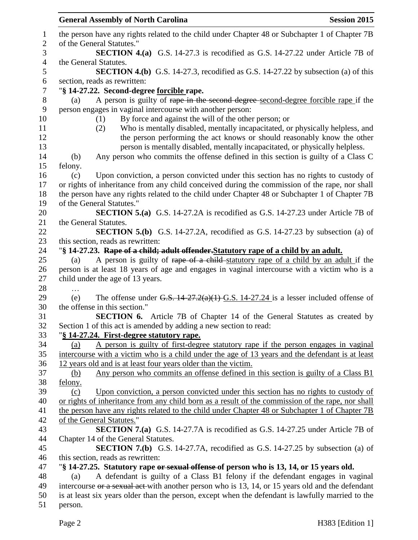|         | <b>General Assembly of North Carolina</b>                                                         | <b>Session 2015</b> |
|---------|---------------------------------------------------------------------------------------------------|---------------------|
|         | the person have any rights related to the child under Chapter 48 or Subchapter 1 of Chapter 7B    |                     |
|         | of the General Statutes."                                                                         |                     |
|         | <b>SECTION 4.(a)</b> G.S. 14-27.3 is recodified as G.S. 14-27.22 under Article 7B of              |                     |
|         | the General Statutes.                                                                             |                     |
|         | <b>SECTION 4.(b)</b> G.S. 14-27.3, recodified as G.S. 14-27.22 by subsection (a) of this          |                     |
|         | section, reads as rewritten:                                                                      |                     |
|         | "§ 14-27.22. Second-degree forcible rape.                                                         |                     |
| (a)     | A person is guilty of rape in the second degree-second-degree forcible rape if the                |                     |
|         | person engages in vaginal intercourse with another person:                                        |                     |
|         | By force and against the will of the other person; or<br>(1)                                      |                     |
|         | Who is mentally disabled, mentally incapacitated, or physically helpless, and<br>(2)              |                     |
|         | the person performing the act knows or should reasonably know the other                           |                     |
|         | person is mentally disabled, mentally incapacitated, or physically helpless.                      |                     |
| (b)     | Any person who commits the offense defined in this section is guilty of a Class C                 |                     |
| felony. |                                                                                                   |                     |
| (c)     | Upon conviction, a person convicted under this section has no rights to custody of                |                     |
|         | or rights of inheritance from any child conceived during the commission of the rape, nor shall    |                     |
|         | the person have any rights related to the child under Chapter 48 or Subchapter 1 of Chapter 7B    |                     |
|         | of the General Statutes."                                                                         |                     |
|         | <b>SECTION 5.(a)</b> G.S. 14-27.2A is recodified as G.S. 14-27.23 under Article 7B of             |                     |
|         | the General Statutes.                                                                             |                     |
|         | <b>SECTION 5.(b)</b> G.S. 14-27.2A, recodified as G.S. 14-27.23 by subsection (a) of              |                     |
|         | this section, reads as rewritten:                                                                 |                     |
|         | "§ 14-27.23. Rape of a child; adult offender. Statutory rape of a child by an adult.              |                     |
| (a)     | A person is guilty of rape of a child-statutory rape of a child by an adult if the                |                     |
|         | person is at least 18 years of age and engages in vaginal intercourse with a victim who is a      |                     |
|         | child under the age of 13 years.                                                                  |                     |
|         |                                                                                                   |                     |
| (e)     | The offense under G.S. $14-27.2(a)(1)$ G.S. $14-27.24$ is a lesser included offense of            |                     |
|         | the offense in this section."                                                                     |                     |
|         | <b>SECTION 6.</b> Article 7B of Chapter 14 of the General Statutes as created by                  |                     |
|         | Section 1 of this act is amended by adding a new section to read:                                 |                     |
|         | "§ 14-27.24. First-degree statutory rape.                                                         |                     |
| (a)     | A person is guilty of first-degree statutory rape if the person engages in vaginal                |                     |
|         | intercourse with a victim who is a child under the age of 13 years and the defendant is at least  |                     |
|         | 12 years old and is at least four years older than the victim.                                    |                     |
| (b)     | Any person who commits an offense defined in this section is guilty of a Class B1                 |                     |
| felony. |                                                                                                   |                     |
| (c)     | Upon conviction, a person convicted under this section has no rights to custody of                |                     |
|         | or rights of inheritance from any child born as a result of the commission of the rape, nor shall |                     |
|         | the person have any rights related to the child under Chapter 48 or Subchapter 1 of Chapter 7B    |                     |
|         | of the General Statutes."                                                                         |                     |
|         | <b>SECTION 7.(a)</b> G.S. 14-27.7A is recodified as G.S. 14-27.25 under Article 7B of             |                     |
|         | Chapter 14 of the General Statutes.                                                               |                     |
|         | <b>SECTION 7.(b)</b> G.S. 14-27.7A, recodified as G.S. 14-27.25 by subsection (a) of              |                     |
|         | this section, reads as rewritten:                                                                 |                     |
|         | "\\$ 14-27.25. Statutory rape or sexual offense of person who is 13, 14, or 15 years old.         |                     |
| (a)     | A defendant is guilty of a Class B1 felony if the defendant engages in vaginal                    |                     |
|         | intercourse or a sexual act-with another person who is 13, 14, or 15 years old and the defendant  |                     |
|         | is at least six years older than the person, except when the defendant is lawfully married to the |                     |
| person. |                                                                                                   |                     |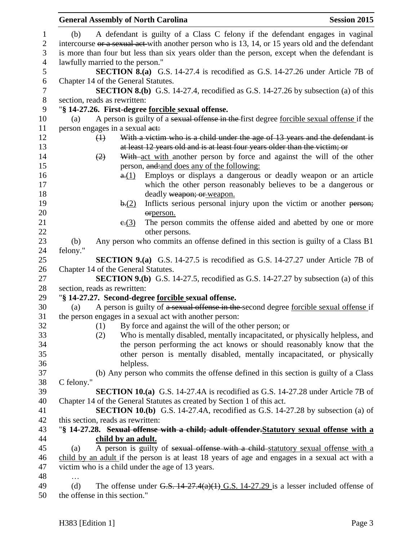|                                      | <b>General Assembly of North Carolina</b>                                                                                                                                                | <b>Session 2015</b> |
|--------------------------------------|------------------------------------------------------------------------------------------------------------------------------------------------------------------------------------------|---------------------|
| $\mathbf{1}$<br>$\overline{2}$       | A defendant is guilty of a Class C felony if the defendant engages in vaginal<br>(b)<br>intercourse or a sexual act-with another person who is 13, 14, or 15 years old and the defendant |                     |
| 3                                    | is more than four but less than six years older than the person, except when the defendant is                                                                                            |                     |
| $\overline{4}$<br>5                  | lawfully married to the person."<br><b>SECTION 8.(a)</b> G.S. 14-27.4 is recodified as G.S. 14-27.26 under Article 7B of                                                                 |                     |
| $\boldsymbol{6}$<br>$\boldsymbol{7}$ | Chapter 14 of the General Statutes.<br><b>SECTION 8.(b)</b> G.S. 14-27.4, recodified as G.S. 14-27.26 by subsection (a) of this                                                          |                     |
| $8\,$                                | section, reads as rewritten:                                                                                                                                                             |                     |
| 9                                    | "§ 14-27.26. First-degree forcible sexual offense.                                                                                                                                       |                     |
| 10                                   | A person is guilty of a sexual offense in the first degree forcible sexual offense if the<br>(a)                                                                                         |                     |
| 11                                   | person engages in a sexual act:                                                                                                                                                          |                     |
| 12<br>13                             | With a victim who is a child under the age of 13 years and the defendant is<br>$\leftrightarrow$<br>at least 12 years old and is at least four years older than the victim; or           |                     |
| 14                                   | With act with another person by force and against the will of the other<br>(2)                                                                                                           |                     |
| 15                                   | person, and: and does any of the following:                                                                                                                                              |                     |
| 16                                   | Employs or displays a dangerous or deadly weapon or an article<br>a(1)                                                                                                                   |                     |
| 17                                   | which the other person reasonably believes to be a dangerous or                                                                                                                          |                     |
| 18                                   | deadly weapon; or weapon.                                                                                                                                                                |                     |
| 19                                   | Inflicts serious personal injury upon the victim or another person;<br>b(2)                                                                                                              |                     |
| 20                                   | orperson.                                                                                                                                                                                |                     |
| 21<br>22                             | The person commits the offense aided and abetted by one or more<br>e(3)<br>other persons.                                                                                                |                     |
| 23                                   | Any person who commits an offense defined in this section is guilty of a Class B1<br>(b)                                                                                                 |                     |
| 24                                   | felony."                                                                                                                                                                                 |                     |
| 25                                   | <b>SECTION 9.(a)</b> G.S. 14-27.5 is recodified as G.S. 14-27.27 under Article 7B of                                                                                                     |                     |
| 26                                   | Chapter 14 of the General Statutes.                                                                                                                                                      |                     |
| 27                                   | <b>SECTION 9.(b)</b> G.S. 14-27.5, recodified as G.S. 14-27.27 by subsection (a) of this                                                                                                 |                     |
| 28                                   | section, reads as rewritten:                                                                                                                                                             |                     |
| 29                                   | "§ 14-27.27. Second-degree forcible sexual offense.                                                                                                                                      |                     |
| 30                                   | A person is guilty of a sexual offense in the second degree forcible sexual offense if<br>(a)                                                                                            |                     |
| 31                                   | the person engages in a sexual act with another person:                                                                                                                                  |                     |
| 32                                   | By force and against the will of the other person; or<br>(1)                                                                                                                             |                     |
| 33                                   | Who is mentally disabled, mentally incapacitated, or physically helpless, and<br>(2)                                                                                                     |                     |
| 34<br>35                             | the person performing the act knows or should reasonably know that the<br>other person is mentally disabled, mentally incapacitated, or physically                                       |                     |
| 36                                   | helpless.                                                                                                                                                                                |                     |
| 37                                   | (b) Any person who commits the offense defined in this section is guilty of a Class                                                                                                      |                     |
| 38                                   | C felony."                                                                                                                                                                               |                     |
| 39                                   | <b>SECTION 10.(a)</b> G.S. 14-27.4A is recodified as G.S. 14-27.28 under Article 7B of                                                                                                   |                     |
| 40                                   | Chapter 14 of the General Statutes as created by Section 1 of this act.                                                                                                                  |                     |
| 41                                   | <b>SECTION 10.(b)</b> G.S. 14-27.4A, recodified as G.S. 14-27.28 by subsection (a) of                                                                                                    |                     |
| 42                                   | this section, reads as rewritten:                                                                                                                                                        |                     |
| 43                                   | "§ 14-27.28. Sexual offense with a child; adult offender. Statutory sexual offense with a                                                                                                |                     |
| 44                                   | child by an adult.                                                                                                                                                                       |                     |
| 45                                   | A person is guilty of sexual offense with a child-statutory sexual offense with a<br>(a)                                                                                                 |                     |
| 46                                   | child by an adult if the person is at least 18 years of age and engages in a sexual act with a                                                                                           |                     |
| 47                                   | victim who is a child under the age of 13 years.                                                                                                                                         |                     |
| 48                                   |                                                                                                                                                                                          |                     |
| 49                                   | The offense under G.S. $14-27.4(a)(1)$ G.S. $14-27.29$ is a lesser included offense of<br>(d)                                                                                            |                     |
| 50                                   | the offense in this section."                                                                                                                                                            |                     |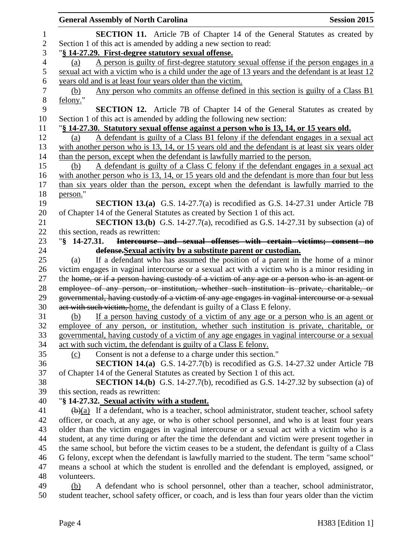|                | <b>General Assembly of North Carolina</b><br><b>Session 2015</b>                                                                                             |
|----------------|--------------------------------------------------------------------------------------------------------------------------------------------------------------|
| 1              | <b>SECTION 11.</b> Article 7B of Chapter 14 of the General Statutes as created by                                                                            |
| $\overline{2}$ | Section 1 of this act is amended by adding a new section to read:                                                                                            |
| 3              | "§ 14-27.29. First-degree statutory sexual offense.                                                                                                          |
| $\overline{4}$ | A person is guilty of first-degree statutory sexual offense if the person engages in a<br>(a)                                                                |
| 5              | sexual act with a victim who is a child under the age of 13 years and the defendant is at least 12                                                           |
| 6              | years old and is at least four years older than the victim.                                                                                                  |
| $\tau$         | Any person who commits an offense defined in this section is guilty of a Class B1<br>(b)                                                                     |
| $8\,$          | felony."                                                                                                                                                     |
| 9              | <b>SECTION 12.</b> Article 7B of Chapter 14 of the General Statutes as created by                                                                            |
| 10             | Section 1 of this act is amended by adding the following new section:                                                                                        |
| 11             | "\\$ 14-27.30. Statutory sexual offense against a person who is 13, 14, or 15 years old.                                                                     |
| 12             | A defendant is guilty of a Class B1 felony if the defendant engages in a sexual act<br>(a)                                                                   |
| 13             | with another person who is 13, 14, or 15 years old and the defendant is at least six years older                                                             |
| 14             | than the person, except when the defendant is lawfully married to the person.                                                                                |
| 15             | A defendant is guilty of a Class C felony if the defendant engages in a sexual act<br>(b)                                                                    |
| 16             | with another person who is 13, 14, or 15 years old and the defendant is more than four but less                                                              |
| 17             | than six years older than the person, except when the defendant is lawfully married to the                                                                   |
| 18             | person."                                                                                                                                                     |
| 19             | <b>SECTION 13.(a)</b> G.S. 14-27.7(a) is recodified as G.S. 14-27.31 under Article 7B                                                                        |
| 20             | of Chapter 14 of the General Statutes as created by Section 1 of this act.                                                                                   |
| 21             | <b>SECTION 13.(b)</b> G.S. 14-27.7(a), recodified as G.S. 14-27.31 by subsection (a) of                                                                      |
| 22             | this section, reads as rewritten:                                                                                                                            |
| 23             | Intercourse and sexual offenses with certain victims; consent no<br>$\sqrt{8}$ 14-27.31.                                                                     |
| 24             | defense. Sexual activity by a substitute parent or custodian.                                                                                                |
| 25             | If a defendant who has assumed the position of a parent in the home of a minor<br>(a)                                                                        |
| 26             | victim engages in vaginal intercourse or a sexual act with a victim who is a minor residing in                                                               |
| 27             | the home, or if a person having custody of a victim of any age or a person who is an agent or                                                                |
| 28             | employee of any person, or institution, whether such institution is private, charitable, or                                                                  |
| 29<br>30       | governmental, having custody of a victim of any age engages in vaginal intercourse or a sexual                                                               |
| 31             | act with such victim, home, the defendant is guilty of a Class E felony.<br>If a person having custody of a victim of any age or a person who is an agent or |
| 32             | (b)<br>employee of any person, or institution, whether such institution is private, charitable, or                                                           |
| 33             | governmental, having custody of a victim of any age engages in vaginal intercourse or a sexual                                                               |
| 34             | act with such victim, the defendant is guilty of a Class E felony.                                                                                           |
| 35             | Consent is not a defense to a charge under this section."<br>(c)                                                                                             |
| 36             | <b>SECTION 14.(a)</b> G.S. 14-27.7(b) is recodified as G.S. 14-27.32 under Article 7B                                                                        |
| 37             | of Chapter 14 of the General Statutes as created by Section 1 of this act.                                                                                   |
| 38             | <b>SECTION 14.(b)</b> G.S. 14-27.7(b), recodified as G.S. 14-27.32 by subsection (a) of                                                                      |
| 39             | this section, reads as rewritten:                                                                                                                            |
| 40             | "§ 14-27.32. Sexual activity with a student.                                                                                                                 |
| 41             | $\left(\frac{b}{a}\right)$ If a defendant, who is a teacher, school administrator, student teacher, school safety                                            |
| 42             | officer, or coach, at any age, or who is other school personnel, and who is at least four years                                                              |
| 43             | older than the victim engages in vaginal intercourse or a sexual act with a victim who is a                                                                  |
| 44             | student, at any time during or after the time the defendant and victim were present together in                                                              |
| 45             | the same school, but before the victim ceases to be a student, the defendant is guilty of a Class                                                            |
| 46             | G felony, except when the defendant is lawfully married to the student. The term "same school"                                                               |
| 47             | means a school at which the student is enrolled and the defendant is employed, assigned, or                                                                  |
| 48             | volunteers.                                                                                                                                                  |
| 49             | A defendant who is school personnel, other than a teacher, school administrator,<br>(b)                                                                      |
| 50             | student teacher, school safety officer, or coach, and is less than four years older than the victim                                                          |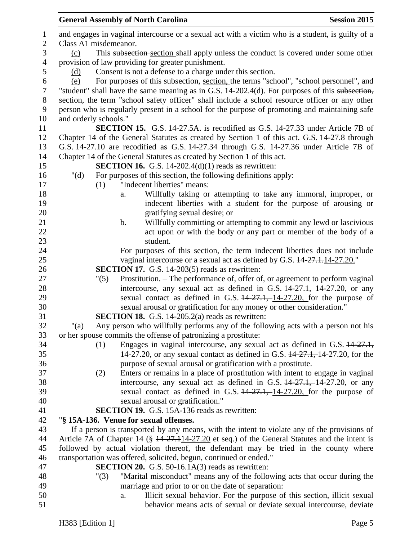|         | <b>Session 2015</b><br><b>General Assembly of North Carolina</b>                                  |
|---------|---------------------------------------------------------------------------------------------------|
|         | and engages in vaginal intercourse or a sexual act with a victim who is a student, is guilty of a |
|         | Class A1 misdemeanor.                                                                             |
| (c)     | This subsection-section shall apply unless the conduct is covered under some other                |
|         | provision of law providing for greater punishment.                                                |
| (d)     | Consent is not a defense to a charge under this section.                                          |
| (e)     | For purposes of this subsection, section, the terms "school", "school personnel", and             |
|         | "student" shall have the same meaning as in G.S. 14-202.4(d). For purposes of this subsection,    |
|         | section, the term "school safety officer" shall include a school resource officer or any other    |
|         | person who is regularly present in a school for the purpose of promoting and maintaining safe     |
|         | and orderly schools."                                                                             |
|         | <b>SECTION 15.</b> G.S. 14-27.5A. is recodified as G.S. 14-27.33 under Article 7B of              |
|         | Chapter 14 of the General Statutes as created by Section 1 of this act. G.S. 14-27.8 through      |
|         | G.S. 14-27.10 are recodified as G.S. 14-27.34 through G.S. 14-27.36 under Article 7B of           |
|         | Chapter 14 of the General Statutes as created by Section 1 of this act.                           |
|         | <b>SECTION 16.</b> G.S. 14-202.4(d)(1) reads as rewritten:                                        |
| " $(d)$ | For purposes of this section, the following definitions apply:                                    |
|         | "Indecent liberties" means:<br>(1)                                                                |
|         | Willfully taking or attempting to take any immoral, improper, or                                  |
|         | a.                                                                                                |
|         | indecent liberties with a student for the purpose of arousing or                                  |
|         | gratifying sexual desire; or                                                                      |
|         | Willfully committing or attempting to commit any lewd or lascivious<br>$\mathbf b$ .              |
|         | act upon or with the body or any part or member of the body of a                                  |
|         | student.                                                                                          |
|         | For purposes of this section, the term indecent liberties does not include                        |
|         | vaginal intercourse or a sexual act as defined by G.S. $14\overline{27.1.14.27.20.}$ "            |
|         | <b>SECTION 17.</b> G.S. 14-203(5) reads as rewritten:                                             |
|         | Prostitution. – The performance of, offer of, or agreement to perform vaginal<br>"(5)             |
|         | intercourse, any sexual act as defined in G.S. $14-27.1$ , $14-27.20$ , or any                    |
|         | sexual contact as defined in G.S. $14-27.1$ , $14-27.20$ , for the purpose of                     |
|         | sexual arousal or gratification for any money or other consideration."                            |
|         | <b>SECTION 18.</b> G.S. 14-205.2(a) reads as rewritten:                                           |
| " $(a)$ | Any person who willfully performs any of the following acts with a person not his                 |
|         | or her spouse commits the offense of patronizing a prostitute:                                    |
|         | Engages in vaginal intercourse, any sexual act as defined in G.S. 14-27.1,<br>(1)                 |
|         | 14-27.20, or any sexual contact as defined in G.S. 14-27.1, 14-27.20, for the                     |
|         | purpose of sexual arousal or gratification with a prostitute.                                     |
|         | Enters or remains in a place of prostitution with intent to engage in vaginal<br>(2)              |
|         | intercourse, any sexual act as defined in G.S. $14-27.1$ , $14-27.20$ , or any                    |
|         | sexual contact as defined in G.S. $14-27.1$ , $14-27.20$ , for the purpose of                     |
|         | sexual arousal or gratification."                                                                 |
|         | <b>SECTION 19.</b> G.S. 15A-136 reads as rewritten:                                               |
|         | "§ 15A-136. Venue for sexual offenses.                                                            |
|         | If a person is transported by any means, with the intent to violate any of the provisions of      |
|         | Article 7A of Chapter 14 (§ 14-27.114-27.20 et seq.) of the General Statutes and the intent is    |
|         | followed by actual violation thereof, the defendant may be tried in the county where              |
|         | transportation was offered, solicited, begun, continued or ended."                                |
|         | SECTION 20. G.S. 50-16.1A(3) reads as rewritten:                                                  |
|         | "Marital misconduct" means any of the following acts that occur during the<br>"(3)                |
|         | marriage and prior to or on the date of separation:                                               |
|         | Illicit sexual behavior. For the purpose of this section, illicit sexual<br>a.                    |
|         | behavior means acts of sexual or deviate sexual intercourse, deviate                              |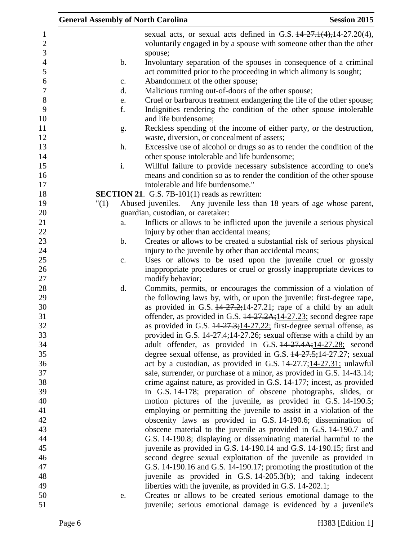|                              | <b>General Assembly of North Carolina</b> |                                                                                                                                       | <b>Session 2015</b> |
|------------------------------|-------------------------------------------|---------------------------------------------------------------------------------------------------------------------------------------|---------------------|
| $\mathbf{1}$                 |                                           | sexual acts, or sexual acts defined in G.S. $14-27.1(4)$ , $14-27.20(4)$ ,                                                            |                     |
| $\sqrt{2}$<br>$\overline{3}$ |                                           | voluntarily engaged in by a spouse with someone other than the other<br>spouse;                                                       |                     |
| $\overline{4}$               | b.                                        | Involuntary separation of the spouses in consequence of a criminal                                                                    |                     |
| 5<br>$\boldsymbol{6}$        |                                           | act committed prior to the proceeding in which alimony is sought;                                                                     |                     |
| $\overline{7}$               | c.<br>d.                                  | Abandonment of the other spouse;                                                                                                      |                     |
| $8\,$                        |                                           | Malicious turning out-of-doors of the other spouse;<br>Cruel or barbarous treatment endangering the life of the other spouse;         |                     |
| 9<br>10                      | e.<br>f.                                  | Indignities rendering the condition of the other spouse intolerable<br>and life burdensome;                                           |                     |
| 11                           | g.                                        | Reckless spending of the income of either party, or the destruction,                                                                  |                     |
| 12                           |                                           | waste, diversion, or concealment of assets;                                                                                           |                     |
| 13                           | h.                                        | Excessive use of alcohol or drugs so as to render the condition of the                                                                |                     |
| 14                           |                                           | other spouse intolerable and life burdensome;                                                                                         |                     |
| 15                           | i.                                        | Willful failure to provide necessary subsistence according to one's                                                                   |                     |
| 16                           |                                           | means and condition so as to render the condition of the other spouse                                                                 |                     |
| 17                           |                                           | intolerable and life burdensome."                                                                                                     |                     |
| 18                           |                                           | <b>SECTION 21.</b> G.S. 7B-101(1) reads as rewritten:                                                                                 |                     |
| 19                           | "(1)                                      | Abused juveniles. $-$ Any juvenile less than 18 years of age whose parent,                                                            |                     |
| 20<br>21                     |                                           | guardian, custodian, or caretaker:                                                                                                    |                     |
| 22                           | a.                                        | Inflicts or allows to be inflicted upon the juvenile a serious physical                                                               |                     |
| 23                           | b.                                        | injury by other than accidental means;<br>Creates or allows to be created a substantial risk of serious physical                      |                     |
| 24                           |                                           | injury to the juvenile by other than accidental means;                                                                                |                     |
| 25                           | c.                                        | Uses or allows to be used upon the juvenile cruel or grossly                                                                          |                     |
| 26                           |                                           | inappropriate procedures or cruel or grossly inappropriate devices to                                                                 |                     |
| 27                           |                                           | modify behavior;                                                                                                                      |                     |
| 28                           | d.                                        | Commits, permits, or encourages the commission of a violation of                                                                      |                     |
| 29                           |                                           | the following laws by, with, or upon the juvenile: first-degree rape,                                                                 |                     |
| 30                           |                                           | as provided in G.S. $14-27-2$ ; $14-27-21$ ; rape of a child by an adult                                                              |                     |
| 31                           |                                           | offender, as provided in G.S. 14-27.2A; 14-27.23; second degree rape                                                                  |                     |
| 32                           |                                           | as provided in G.S. $14-27.3;14-27.22;$ first-degree sexual offense, as                                                               |                     |
| 33                           |                                           | provided in G.S. 14-27.4;14-27.26; sexual offense with a child by an                                                                  |                     |
| 34                           |                                           | adult offender, as provided in G.S. 44-27.4A;14-27.28; second                                                                         |                     |
| 35                           |                                           | degree sexual offense, as provided in G.S. $14-27.5$ ; $14-27.27$ ; sexual                                                            |                     |
| 36                           |                                           | act by a custodian, as provided in G.S. $14-27.7$ ; $14-27.31$ ; unlawful                                                             |                     |
| 37                           |                                           | sale, surrender, or purchase of a minor, as provided in G.S. 14-43.14;                                                                |                     |
| 38                           |                                           | crime against nature, as provided in G.S. 14-177; incest, as provided                                                                 |                     |
| 39                           |                                           | in G.S. 14-178; preparation of obscene photographs, slides, or                                                                        |                     |
| 40<br>41                     |                                           | motion pictures of the juvenile, as provided in G.S. 14-190.5;                                                                        |                     |
| 42                           |                                           | employing or permitting the juvenile to assist in a violation of the<br>obscenity laws as provided in G.S. 14-190.6; dissemination of |                     |
| 43                           |                                           | obscene material to the juvenile as provided in G.S. 14-190.7 and                                                                     |                     |
| 44                           |                                           | G.S. 14-190.8; displaying or disseminating material harmful to the                                                                    |                     |
| 45                           |                                           | juvenile as provided in G.S. 14-190.14 and G.S. 14-190.15; first and                                                                  |                     |
| 46                           |                                           | second degree sexual exploitation of the juvenile as provided in                                                                      |                     |
| 47                           |                                           | G.S. 14-190.16 and G.S. 14-190.17; promoting the prostitution of the                                                                  |                     |
| 48                           |                                           | juvenile as provided in G.S. 14-205.3(b); and taking indecent                                                                         |                     |
| 49                           |                                           | liberties with the juvenile, as provided in G.S. 14-202.1;                                                                            |                     |
| 50                           | e.                                        | Creates or allows to be created serious emotional damage to the                                                                       |                     |
| 51                           |                                           | juvenile; serious emotional damage is evidenced by a juvenile's                                                                       |                     |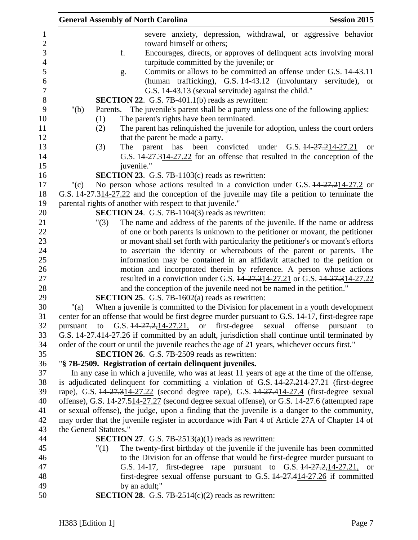|          | <b>General Assembly of North Carolina</b>                                                         | <b>Session 2015</b> |
|----------|---------------------------------------------------------------------------------------------------|---------------------|
|          | severe anxiety, depression, withdrawal, or aggressive behavior                                    |                     |
|          | toward himself or others;                                                                         |                     |
|          | f.<br>Encourages, directs, or approves of delinquent acts involving moral                         |                     |
|          | turpitude committed by the juvenile; or                                                           |                     |
|          | Commits or allows to be committed an offense under G.S. 14-43.11<br>g.                            |                     |
|          | (human trafficking), G.S. 14-43.12 (involuntary servitude), or                                    |                     |
|          | G.S. 14-43.13 (sexual servitude) against the child."                                              |                     |
|          | <b>SECTION 22.</b> G.S. 7B-401.1(b) reads as rewritten:                                           |                     |
| " $(b)$  | Parents. – The juvenile's parent shall be a party unless one of the following applies:            |                     |
|          | The parent's rights have been terminated.<br>(1)                                                  |                     |
|          | The parent has relinquished the juvenile for adoption, unless the court orders<br>(2)             |                     |
|          | that the parent be made a party.                                                                  |                     |
|          | The parent has been convicted<br>under G.S. 14-27.214-27.21<br>(3)                                | <b>or</b>           |
|          | G.S. 44-27.314-27.22 for an offense that resulted in the conception of the                        |                     |
|          | juvenile."                                                                                        |                     |
|          |                                                                                                   |                     |
|          | <b>SECTION 23.</b> G.S. 7B-1103(c) reads as rewritten:                                            |                     |
| "(c)     | No person whose actions resulted in a conviction under G.S. $\frac{14-27.214-27.2}{2}$ or         |                     |
|          | G.S. 14-27.314-27.22 and the conception of the juvenile may file a petition to terminate the      |                     |
|          | parental rights of another with respect to that juvenile."                                        |                     |
|          | SECTION 24. G.S. 7B-1104(3) reads as rewritten:                                                   |                     |
|          | The name and address of the parents of the juvenile. If the name or address<br>"(3)               |                     |
|          | of one or both parents is unknown to the petitioner or movant, the petitioner                     |                     |
|          | or movant shall set forth with particularity the petitioner's or movant's efforts                 |                     |
|          | to ascertain the identity or whereabouts of the parent or parents. The                            |                     |
|          | information may be contained in an affidavit attached to the petition or                          |                     |
|          | motion and incorporated therein by reference. A person whose actions                              |                     |
|          | resulted in a conviction under G.S. 14-27.214-27.21 or G.S. 14-27.314-27.22                       |                     |
|          | and the conception of the juvenile need not be named in the petition."                            |                     |
|          | <b>SECTION 25.</b> G.S. 7B-1602(a) reads as rewritten:                                            |                     |
| "(a)     | When a juvenile is committed to the Division for placement in a youth development                 |                     |
|          | center for an offense that would be first degree murder pursuant to G.S. 14-17, first-degree rape |                     |
| pursuant | G.S. $14-27.2, 14-27.21$ , or first-degree sexual offense<br>to                                   | pursuant<br>to      |
|          | G.S. 14-27.414-27.26 if committed by an adult, jurisdiction shall continue until terminated by    |                     |
|          | order of the court or until the juvenile reaches the age of 21 years, whichever occurs first."    |                     |
|          | <b>SECTION 26.</b> G.S. 7B-2509 reads as rewritten:                                               |                     |
|          | "§ 7B-2509. Registration of certain delinquent juveniles.                                         |                     |
|          | In any case in which a juvenile, who was at least 11 years of age at the time of the offense,     |                     |
|          | is adjudicated delinquent for committing a violation of G.S. $14-27.214-27.21$ (first-degree      |                     |
|          | rape), G.S. 44-27.314-27.22 (second degree rape), G.S. 44-27.414-27.4 (first-degree sexual        |                     |
|          | offense), G.S. 14-27.514-27.27 (second degree sexual offense), or G.S. 14-27.6 (attempted rape    |                     |
|          | or sexual offense), the judge, upon a finding that the juvenile is a danger to the community,     |                     |
|          | may order that the juvenile register in accordance with Part 4 of Article 27A of Chapter 14 of    |                     |
|          | the General Statutes."                                                                            |                     |
|          | <b>SECTION 27.</b> G.S. 7B-2513(a)(1) reads as rewritten:                                         |                     |
|          | The twenty-first birthday of the juvenile if the juvenile has been committed<br>"(1)              |                     |
|          | to the Division for an offense that would be first-degree murder pursuant to                      |                     |
|          | G.S. 14-17, first-degree rape pursuant to G.S. $14-27-27-21$ , or                                 |                     |
|          | first-degree sexual offense pursuant to G.S. 14-27.414-27.26 if committed                         |                     |
|          | by an adult;"                                                                                     |                     |
|          | <b>SECTION 28.</b> G.S. 7B-2514(c)(2) reads as rewritten:                                         |                     |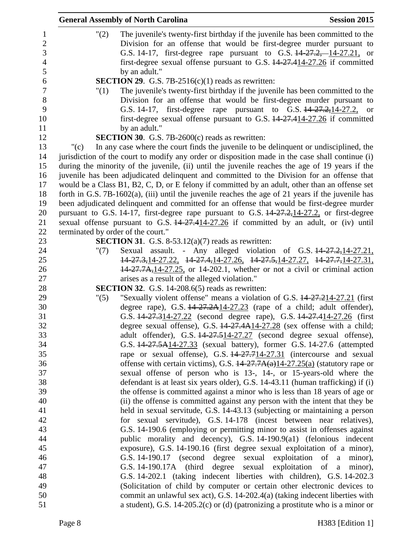|                  | <b>General Assembly of North Carolina</b>                                                             | <b>Session 2015</b> |
|------------------|-------------------------------------------------------------------------------------------------------|---------------------|
| $\mathbf{1}$     | "(2)<br>The juvenile's twenty-first birthday if the juvenile has been committed to the                |                     |
| $\overline{2}$   | Division for an offense that would be first-degree murder pursuant to                                 |                     |
| 3                | G.S. 14-17, first-degree rape pursuant to G.S. 14-27.2, 14-27.21, or                                  |                     |
| $\overline{4}$   | first-degree sexual offense pursuant to G.S. 14-27.414-27.26 if committed                             |                     |
| 5                | by an adult."                                                                                         |                     |
| 6                | <b>SECTION 29.</b> G.S. 7B-2516(c)(1) reads as rewritten:                                             |                     |
| $\boldsymbol{7}$ | The juvenile's twenty-first birthday if the juvenile has been committed to the<br>"(1)                |                     |
| 8                | Division for an offense that would be first-degree murder pursuant to                                 |                     |
| 9                | G.S. 14-17, first-degree rape pursuant to G.S. 14-27.2, 14-27.2, or                                   |                     |
| 10               | first-degree sexual offense pursuant to G.S. 14-27.414-27.26 if committed                             |                     |
| 11               | by an adult."                                                                                         |                     |
| 12               | <b>SECTION 30.</b> G.S. 7B-2600 $(c)$ reads as rewritten:                                             |                     |
| 13               | In any case where the court finds the juvenile to be delinquent or undisciplined, the<br>"(c)         |                     |
| 14               | jurisdiction of the court to modify any order or disposition made in the case shall continue (i)      |                     |
| 15               | during the minority of the juvenile, (ii) until the juvenile reaches the age of 19 years if the       |                     |
| 16               | juvenile has been adjudicated delinquent and committed to the Division for an offense that            |                     |
| 17               | would be a Class B1, B2, C, D, or E felony if committed by an adult, other than an offense set        |                     |
| 18               | forth in G.S. $7B-1602(a)$ , (iii) until the juvenile reaches the age of 21 years if the juvenile has |                     |
| 19               | been adjudicated delinquent and committed for an offense that would be first-degree murder            |                     |
| 20               | pursuant to G.S. 14-17, first-degree rape pursuant to G.S. $14-27.2, 14-27.2$ , or first-degree       |                     |
| 21               | sexual offense pursuant to G.S. 14-27.414-27.26 if committed by an adult, or (iv) until               |                     |
| 22               | terminated by order of the court."                                                                    |                     |
| 23               | <b>SECTION 31.</b> G.S. 8-53.12(a)(7) reads as rewritten:                                             |                     |
| 24               | Sexual assault. - Any alleged violation of G.S. 14-27.2, 14-27.21,<br>" $(7)$                         |                     |
| 25               | 14-27.3, 14-27.22, 14-27.4, 14-27.26, 14-27.5, 14-27.27, 14-27.7, 14-27.31,                           |                     |
| 26               | $14-27.7A$ , $14-27.25$ , or 14-202.1, whether or not a civil or criminal action                      |                     |
| 27               | arises as a result of the alleged violation."                                                         |                     |
| 28               | <b>SECTION 32.</b> G.S. 14-208.6(5) reads as rewritten:                                               |                     |
| 29               | "Sexually violent offense" means a violation of G.S. 14-27.214-27.21 (first<br>"(5)                   |                     |
| 30               | degree rape), G.S. $14-27.2A14-27.23$ (rape of a child; adult offender),                              |                     |
| 31               | G.S. 44-27.314-27.22 (second degree rape), G.S. 44-27.414-27.26 (first                                |                     |
| 32               | degree sexual offense), G.S. $14-27.4A14-27.28$ (sex offense with a child;                            |                     |
| 33               | adult offender), G.S. 14-27.514-27.27 (second degree sexual offense),                                 |                     |
| 34               | G.S. 14-27.5A14-27.33 (sexual battery), former G.S. 14-27.6 (attempted                                |                     |
| 35               | rape or sexual offense), G.S. 44-27.714-27.31 (intercourse and sexual                                 |                     |
| 36               | offense with certain victims), G.S. $14-27.7A(a)14-27.25(a)$ (statutory rape or                       |                     |
| 37               | sexual offense of person who is 13-, 14-, or 15-years-old where the                                   |                     |
| 38               | defendant is at least six years older), G.S. 14-43.11 (human trafficking) if (i)                      |                     |
| 39               | the offense is committed against a minor who is less than 18 years of age or                          |                     |
| 40               | (ii) the offense is committed against any person with the intent that they be                         |                     |
| 41               | held in sexual servitude, G.S. 14-43.13 (subjecting or maintaining a person                           |                     |
| 42               | for sexual servitude), G.S. 14-178 (incest between near relatives),                                   |                     |
| 43               | G.S. 14-190.6 (employing or permitting minor to assist in offenses against                            |                     |
| 44               | public morality and decency), G.S. 14-190.9(a1) (felonious indecent                                   |                     |
| 45               | exposure), G.S. 14-190.16 (first degree sexual exploitation of a minor),                              |                     |
| 46               | G.S. 14-190.17 (second degree sexual exploitation of a                                                | minor),             |
| 47               | G.S. 14-190.17A (third degree sexual exploitation of a minor),                                        |                     |
| 48               | G.S. 14-202.1 (taking indecent liberties with children), G.S. 14-202.3                                |                     |
| 49               | (Solicitation of child by computer or certain other electronic devices to                             |                     |
| 50               | commit an unlawful sex act), G.S. 14-202.4(a) (taking indecent liberties with                         |                     |
| 51               | a student), G.S. 14-205.2(c) or (d) (patronizing a prostitute who is a minor or                       |                     |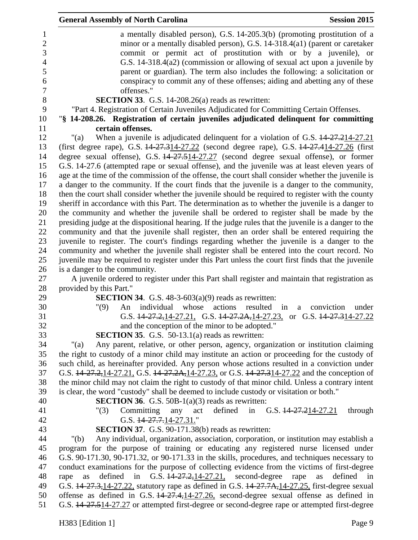|                               | <b>General Assembly of North Carolina</b>                                                                          | <b>Session 2015</b>                          |
|-------------------------------|--------------------------------------------------------------------------------------------------------------------|----------------------------------------------|
|                               | a mentally disabled person), G.S. 14-205.3(b) (promoting prostitution of a                                         |                                              |
|                               | minor or a mentally disabled person), G.S. 14-318.4(a1) (parent or caretaker                                       |                                              |
|                               | commit or permit act of prostitution with or by a juvenile), or                                                    |                                              |
|                               | G.S. 14-318.4(a2) (commission or allowing of sexual act upon a juvenile by                                         |                                              |
|                               | parent or guardian). The term also includes the following: a solicitation or                                       |                                              |
|                               | conspiracy to commit any of these offenses; aiding and abetting any of these                                       |                                              |
|                               | offenses."                                                                                                         |                                              |
|                               | <b>SECTION 33.</b> G.S. 14-208.26(a) reads as rewritten:                                                           |                                              |
|                               | "Part 4. Registration of Certain Juveniles Adjudicated for Committing Certain Offenses.                            |                                              |
|                               | "§ 14-208.26. Registration of certain juveniles adjudicated delinquent for committing                              |                                              |
|                               | certain offenses.                                                                                                  |                                              |
| " $(a)$                       | When a juvenile is adjudicated delinquent for a violation of G.S. $14-27.214-27.21$                                |                                              |
|                               | (first degree rape), G.S. 14-27.314-27.22 (second degree rape), G.S. 14-27.414-27.26 (first                        |                                              |
|                               | degree sexual offense), G.S. 14-27.514-27.27 (second degree sexual offense), or former                             |                                              |
|                               | G.S. 14-27.6 (attempted rape or sexual offense), and the juvenile was at least eleven years of                     |                                              |
|                               | age at the time of the commission of the offense, the court shall consider whether the juvenile is                 |                                              |
|                               | a danger to the community. If the court finds that the juvenile is a danger to the community,                      |                                              |
|                               | then the court shall consider whether the juvenile should be required to register with the county                  |                                              |
|                               | sheriff in accordance with this Part. The determination as to whether the juvenile is a danger to                  |                                              |
|                               | the community and whether the juvenile shall be ordered to register shall be made by the                           |                                              |
|                               | presiding judge at the dispositional hearing. If the judge rules that the juvenile is a danger to the              |                                              |
|                               | community and that the juvenile shall register, then an order shall be entered requiring the                       |                                              |
|                               | juvenile to register. The court's findings regarding whether the juvenile is a danger to the                       |                                              |
|                               | community and whether the juvenile shall register shall be entered into the court record. No                       |                                              |
|                               | juvenile may be required to register under this Part unless the court first finds that the juvenile                |                                              |
| is a danger to the community. |                                                                                                                    |                                              |
|                               | A juvenile ordered to register under this Part shall register and maintain that registration as                    |                                              |
| provided by this Part."       |                                                                                                                    |                                              |
|                               | <b>SECTION 34.</b> G.S. $48-3-603(a)(9)$ reads as rewritten:                                                       |                                              |
| "(9)                          | individual<br>whose<br>actions<br>An                                                                               | resulted<br>in<br>conviction<br>under<br>a   |
|                               | G.S. $14\overline{27.2}$ , 14-27.21, G.S. $14\overline{27.2}$ A, 14-27.23, or G.S. $14\overline{27.3}$ 14-27.22    |                                              |
|                               | and the conception of the minor to be adopted."                                                                    |                                              |
|                               | <b>SECTION 35.</b> G.S. 50-13.1(a) reads as rewritten:                                                             |                                              |
| "(a)                          | Any parent, relative, or other person, agency, organization or institution claiming                                |                                              |
|                               | the right to custody of a minor child may institute an action or proceeding for the custody of                     |                                              |
|                               | such child, as hereinafter provided. Any person whose actions resulted in a conviction under                       |                                              |
|                               | G.S. 14-27.2, 14-27.21, G.S. 14-27.2A, 14-27.23, or G.S. 14-27.314-27.22 and the conception of                     |                                              |
|                               | the minor child may not claim the right to custody of that minor child. Unless a contrary intent                   |                                              |
|                               | is clear, the word "custody" shall be deemed to include custody or visitation or both."                            |                                              |
|                               | <b>SECTION 36.</b> G.S. 50B-1 $(a)(3)$ reads as rewritten:                                                         |                                              |
| "(3)                          | defined<br>Committing<br>any<br>act                                                                                | in G.S. $\frac{14-27}{214-27.21}$<br>through |
|                               | G.S. $14-27.7.14-27.31$ ."                                                                                         |                                              |
|                               | <b>SECTION 37.</b> G.S. 90-171.38(b) reads as rewritten:                                                           |                                              |
| " $(b)$                       | Any individual, organization, association, corporation, or institution may establish a                             |                                              |
|                               | program for the purpose of training or educating any registered nurse licensed under                               |                                              |
|                               | G.S. 90-171.30, 90-171.32, or 90-171.33 in the skills, procedures, and techniques necessary to                     |                                              |
|                               | conduct examinations for the purpose of collecting evidence from the victims of first-degree                       |                                              |
| as<br>rape                    | G.S. 44-27.2, 14-27.21, second-degree rape<br>defined<br>in                                                        | defined in<br>as                             |
|                               | G.S. 14-27.3, 14-27.22, statutory rape as defined in G.S. 14-27.7A, 14-27.25, first-degree sexual                  |                                              |
|                               | offense as defined in G.S. $14\overline{27.4}$ , $14\overline{27.26}$ , second-degree sexual offense as defined in |                                              |
|                               | G.S. 44-27.514-27.27 or attempted first-degree or second-degree rape or attempted first-degree                     |                                              |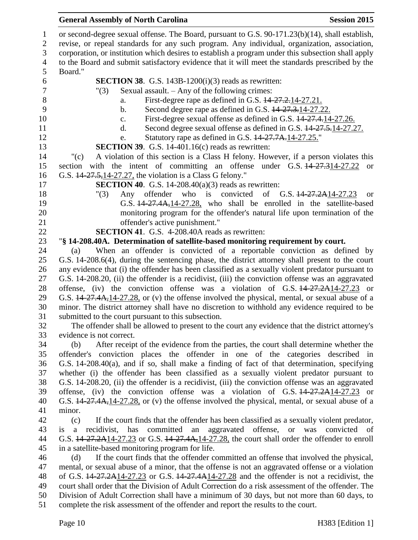#### **General Assembly of North Carolina Session 2015**

 or second-degree sexual offense. The Board, pursuant to G.S. 90-171.23(b)(14), shall establish, revise, or repeal standards for any such program. Any individual, organization, association, corporation, or institution which desires to establish a program under this subsection shall apply to the Board and submit satisfactory evidence that it will meet the standards prescribed by the Board." **SECTION 38**. G.S. 143B-1200(i)(3) reads as rewritten: "(3) Sexual assault. – Any of the following crimes: 8 a. First-degree rape as defined in G.S.  $\frac{14-27.2.14-27.21}{27.21}$ . b. Second degree rape as defined in G.S. 14-27.3.14-27.22. 10 c. First-degree sexual offense as defined in G.S.  $14-27.4$ , 14-27.26. 11 d. Second degree sexual offense as defined in G.S.  $14-27.5-14-27.27$ . 12 e. Statutory rape as defined in G.S.  $14-27.7A$ , 14-27.25." **SECTION 39**. G.S. 14-401.16(c) reads as rewritten: "(c) A violation of this section is a Class H felony. However, if a person violates this section with the intent of committing an offense under G.S. 14-27.314-27.22 or G.S. 14-27.5,14-27.27, the violation is a Class G felony." **SECTION 40**. G.S. 14-208.40(a)(3) reads as rewritten: "(3) Any offender who is convicted of G.S. 14-27.2A14-27.23 or G.S. 14-27.4A,14-27.28, who shall be enrolled in the satellite-based monitoring program for the offender's natural life upon termination of the offender's active punishment." **SECTION 41**. G.S. 4-208.40A reads as rewritten: "**§ 14-208.40A. Determination of satellite-based monitoring requirement by court.** (a) When an offender is convicted of a reportable conviction as defined by G.S. 14-208.6(4), during the sentencing phase, the district attorney shall present to the court any evidence that (i) the offender has been classified as a sexually violent predator pursuant to G.S. 14-208.20, (ii) the offender is a recidivist, (iii) the conviction offense was an aggravated offense, (iv) the conviction offense was a violation of G.S. 14-27.2A14-27.23 or G.S. 14-27.4A,14-27.28, or (v) the offense involved the physical, mental, or sexual abuse of a minor. The district attorney shall have no discretion to withhold any evidence required to be submitted to the court pursuant to this subsection. The offender shall be allowed to present to the court any evidence that the district attorney's evidence is not correct. (b) After receipt of the evidence from the parties, the court shall determine whether the offender's conviction places the offender in one of the categories described in G.S. 14-208.40(a), and if so, shall make a finding of fact of that determination, specifying whether (i) the offender has been classified as a sexually violent predator pursuant to G.S. 14-208.20, (ii) the offender is a recidivist, (iii) the conviction offense was an aggravated offense, (iv) the conviction offense was a violation of G.S. 14-27.2A14-27.23 or G.S. 14-27.4A,14-27.28, or (v) the offense involved the physical, mental, or sexual abuse of a minor. (c) If the court finds that the offender has been classified as a sexually violent predator, is a recidivist, has committed an aggravated offense, or was convicted of G.S. 14-27.2A14-27.23 or G.S. 14-27.4A,14-27.28, the court shall order the offender to enroll in a satellite-based monitoring program for life. (d) If the court finds that the offender committed an offense that involved the physical, mental, or sexual abuse of a minor, that the offense is not an aggravated offense or a violation of G.S. 14-27.2A14-27.23 or G.S. 14-27.4A14-27.28 and the offender is not a recidivist, the court shall order that the Division of Adult Correction do a risk assessment of the offender. The Division of Adult Correction shall have a minimum of 30 days, but not more than 60 days, to complete the risk assessment of the offender and report the results to the court.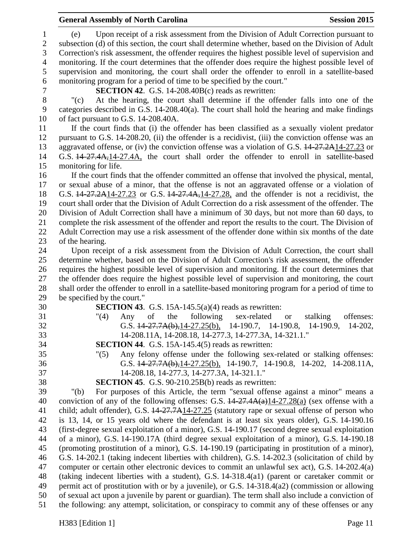# **General Assembly of North Carolina Session 2015**

 (e) Upon receipt of a risk assessment from the Division of Adult Correction pursuant to subsection (d) of this section, the court shall determine whether, based on the Division of Adult Correction's risk assessment, the offender requires the highest possible level of supervision and monitoring. If the court determines that the offender does require the highest possible level of supervision and monitoring, the court shall order the offender to enroll in a satellite-based monitoring program for a period of time to be specified by the court." **SECTION 42**. G.S. 14-208.40B(c) reads as rewritten: "(c) At the hearing, the court shall determine if the offender falls into one of the categories described in G.S. 14-208.40(a). The court shall hold the hearing and make findings of fact pursuant to G.S. 14-208.40A. If the court finds that (i) the offender has been classified as a sexually violent predator pursuant to G.S. 14-208.20, (ii) the offender is a recidivist, (iii) the conviction offense was an 13 aggravated offense, or (iv) the conviction offense was a violation of G.S.  $14-27.2A14-27.23$  or G.S. 14-27.4A,14-27.4A, the court shall order the offender to enroll in satellite-based monitoring for life. If the court finds that the offender committed an offense that involved the physical, mental, or sexual abuse of a minor, that the offense is not an aggravated offense or a violation of G.S. 14-27.2A14-27.23 or G.S. 14-27.4A,14-27.28, and the offender is not a recidivist, the court shall order that the Division of Adult Correction do a risk assessment of the offender. The Division of Adult Correction shall have a minimum of 30 days, but not more than 60 days, to complete the risk assessment of the offender and report the results to the court. The Division of Adult Correction may use a risk assessment of the offender done within six months of the date of the hearing. Upon receipt of a risk assessment from the Division of Adult Correction, the court shall determine whether, based on the Division of Adult Correction's risk assessment, the offender requires the highest possible level of supervision and monitoring. If the court determines that the offender does require the highest possible level of supervision and monitoring, the court shall order the offender to enroll in a satellite-based monitoring program for a period of time to be specified by the court." **SECTION 43**. G.S. 15A-145.5(a)(4) reads as rewritten: "(4) Any of the following sex-related or stalking offenses: G.S. 14-27.7A(b),14-27.25(b), 14-190.7, 14-190.8, 14-190.9, 14-202, 14-208.11A, 14-208.18, 14-277.3, 14-277.3A, 14-321.1." **SECTION 44**. G.S. 15A-145.4(5) reads as rewritten: "(5) Any felony offense under the following sex-related or stalking offenses: G.S. 14-27.7A(b),14-27.25(b), 14-190.7, 14-190.8, 14-202, 14-208.11A, 14-208.18, 14-277.3, 14-277.3A, 14-321.1." **SECTION 45**. G.S. 90-210.25B(b) reads as rewritten: "(b) For purposes of this Article, the term "sexual offense against a minor" means a 40 conviction of any of the following offenses: G.S.  $14-27.4A(a)14-27.28(a)$  (sex offense with a child; adult offender), G.S. 14-27.7A14-27.25 (statutory rape or sexual offense of person who is 13, 14, or 15 years old where the defendant is at least six years older), G.S. 14-190.16 (first-degree sexual exploitation of a minor), G.S. 14-190.17 (second degree sexual exploitation of a minor), G.S. 14-190.17A (third degree sexual exploitation of a minor), G.S. 14-190.18 (promoting prostitution of a minor), G.S. 14-190.19 (participating in prostitution of a minor), G.S. 14-202.1 (taking indecent liberties with children), G.S. 14-202.3 (solicitation of child by computer or certain other electronic devices to commit an unlawful sex act), G.S. 14-202.4(a) (taking indecent liberties with a student), G.S. 14-318.4(a1) (parent or caretaker commit or permit act of prostitution with or by a juvenile), or G.S. 14-318.4(a2) (commission or allowing of sexual act upon a juvenile by parent or guardian). The term shall also include a conviction of the following: any attempt, solicitation, or conspiracy to commit any of these offenses or any